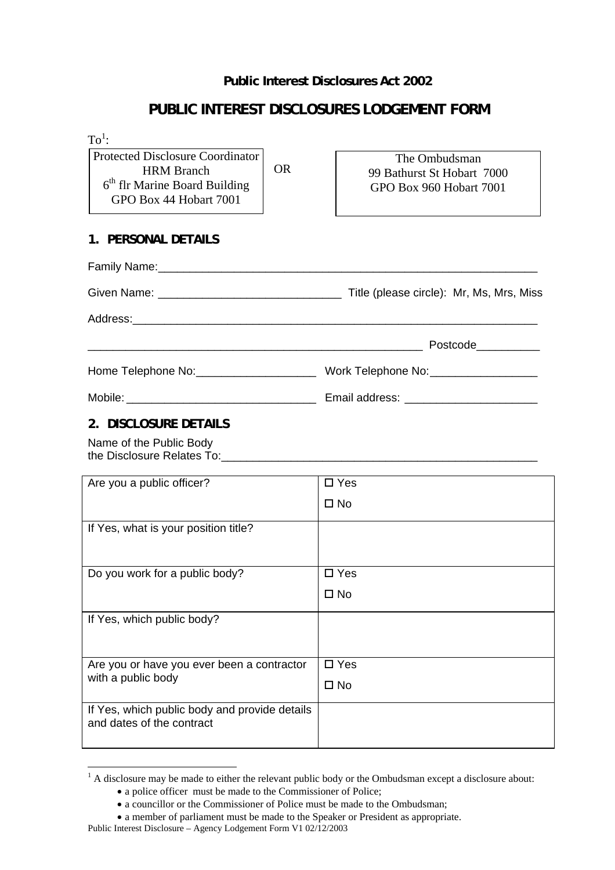### **Public Interest Disclosures Act 2002**

## **PUBLIC INTEREST DISCLOSURES LODGEMENT FORM**

| $To1$ :                                                                          |                            |
|----------------------------------------------------------------------------------|----------------------------|
| <b>Protected Disclosure Coordinator</b><br><b>OR</b><br><b>HRM</b> Branch        | The Ombudsman              |
| $6th$ flr Marine Board Building                                                  | 99 Bathurst St Hobart 7000 |
| GPO Box 44 Hobart 7001                                                           | GPO Box 960 Hobart 7001    |
|                                                                                  |                            |
| 1. PERSONAL DETAILS                                                              |                            |
|                                                                                  |                            |
|                                                                                  |                            |
|                                                                                  |                            |
| <u> 1989 - Johann Barn, mars ar breithinn ar chwaraeth a bhaile ann an 1980.</u> | Postcode   ____________    |
|                                                                                  |                            |
|                                                                                  |                            |
| 2. DISCLOSURE DETAILS                                                            |                            |
| Name of the Public Body                                                          |                            |
| Are you a public officer?                                                        | $\square$ Yes              |
|                                                                                  | $\square$ No               |
| If Yes, what is your position title?                                             |                            |
|                                                                                  |                            |
| Do you work for a public body?                                                   | $\square$ Yes              |
|                                                                                  | $\square$ No               |
| If Yes, which public body?                                                       |                            |
|                                                                                  |                            |
| Are you or have you ever been a contractor                                       | $\square$ Yes              |
| with a public body                                                               | $\square$ No               |
| If Yes, which public body and provide details<br>and dates of the contract       |                            |
|                                                                                  |                            |
|                                                                                  |                            |

 $\overline{a}$ 

<span id="page-0-0"></span><sup>&</sup>lt;sup>1</sup> A disclosure may be made to either the relevant public body or the Ombudsman except a disclosure about: • a police officer must be made to the Commissioner of Police;

<sup>•</sup> a councillor or the Commissioner of Police must be made to the Ombudsman;

<sup>•</sup> a member of parliament must be made to the Speaker or President as appropriate.

Public Interest Disclosure – Agency Lodgement Form V1 02/12/2003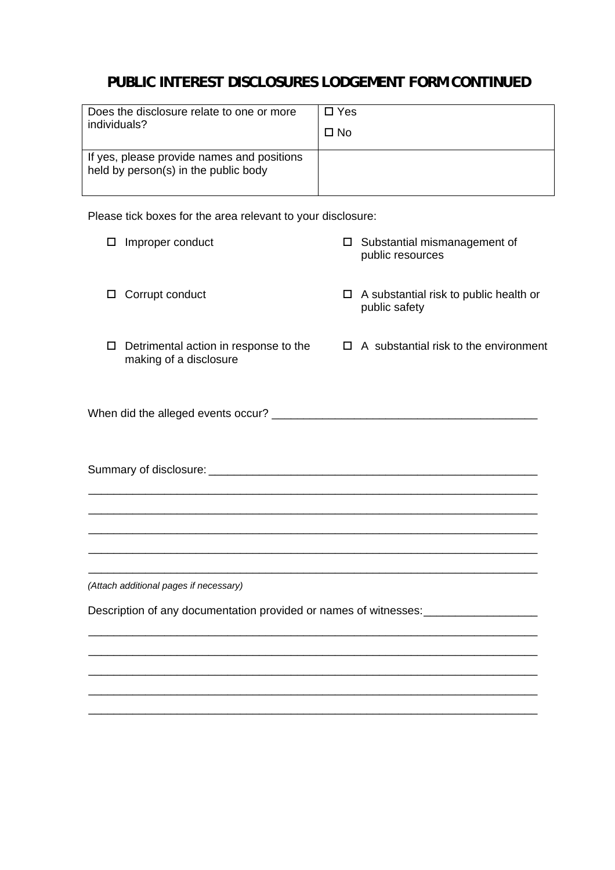# **PUBLIC INTEREST DISCLOSURES LODGEMENT FORM CONTINUED**

| Does the disclosure relate to one or more                                          | $\Box$ Yes |
|------------------------------------------------------------------------------------|------------|
| individuals?                                                                       | $\Box$ No  |
| If yes, please provide names and positions<br>held by person(s) in the public body |            |

Please tick boxes for the area relevant to your disclosure:

| Improper conduct<br>□                                                                                                                    | Substantial mismanagement of<br>□<br>public resources                              |
|------------------------------------------------------------------------------------------------------------------------------------------|------------------------------------------------------------------------------------|
| Corrupt conduct<br>□                                                                                                                     | A substantial risk to public health or<br>0.<br>public safety                      |
| □<br>making of a disclosure                                                                                                              | Detrimental action in response to the $\Box$ A substantial risk to the environment |
|                                                                                                                                          |                                                                                    |
|                                                                                                                                          |                                                                                    |
|                                                                                                                                          |                                                                                    |
| (Attach additional pages if necessary)                                                                                                   |                                                                                    |
| Description of any documentation provided or names of witnesses: [1963] Description of any documentation provided or names of witnesses: |                                                                                    |
|                                                                                                                                          |                                                                                    |
|                                                                                                                                          |                                                                                    |

\_\_\_\_\_\_\_\_\_\_\_\_\_\_\_\_\_\_\_\_\_\_\_\_\_\_\_\_\_\_\_\_\_\_\_\_\_\_\_\_\_\_\_\_\_\_\_\_\_\_\_\_\_\_\_\_\_\_\_\_\_\_\_\_\_\_\_\_\_\_\_